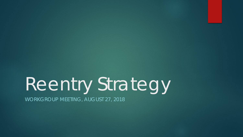# Reentry Strategy

WORKGROUP MEETING, AUGUST 27, 2018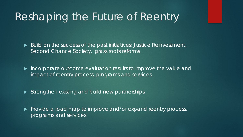## Reshaping the Future of Reentry

Build on the success of the past initiatives: Justice Reinvestment, Second Chance Society, grass roots reforms

 Incorporate outcome evaluation results to improve the value and impact of reentry process, programs and services

Strengthen existing and build new partnerships

 $\blacktriangleright$  Provide a road map to improve and/or expand reentry process, programs and services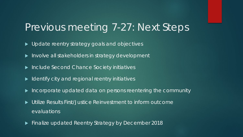#### Previous meeting 7-27: Next Steps

- ▶ Update reentry strategy goals and objectives
- Involve all stakeholders in strategy development
- **Include Second Chance Society initiatives**
- $\blacktriangleright$  Identify city and regional reentry initiatives
- $\blacktriangleright$  Incorporate updated data on persons reentering the community
- Utilize Results First/Justice Reinvestment to inform outcome evaluations
- **Finalize updated Reentry Strategy by December 2018**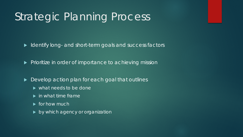# Strategic Planning Process

In Identify long- and short-term goals and success factors

Prioritize in order of importance to achieving mission

▶ Develop action plan for each goal that outlines

- what needs to be done
- $\blacktriangleright$  in what time frame
- $\blacktriangleright$  for how much
- by which agency or organization